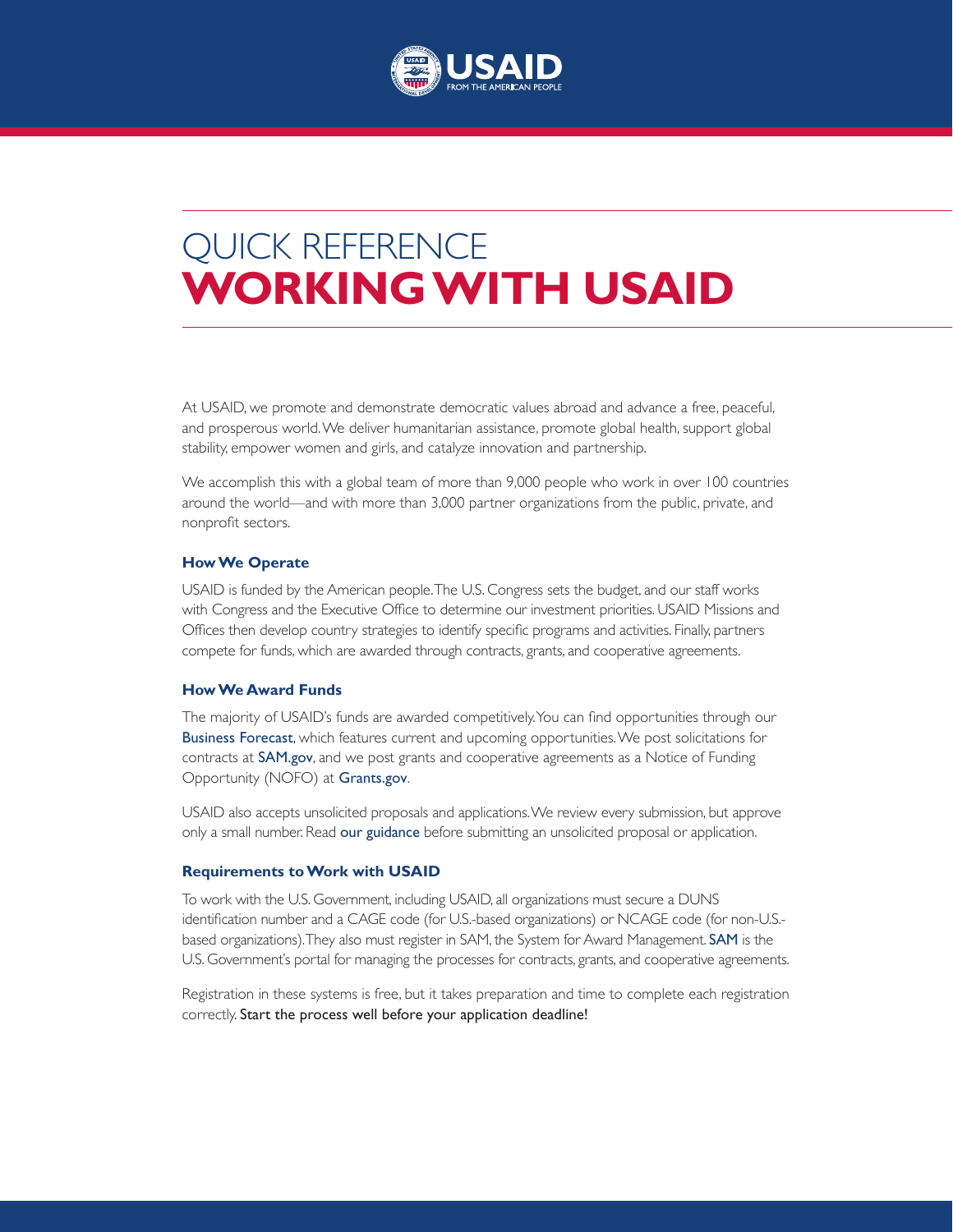

# QUICK REFERENCE **WORKING WITH USAID**

At USAID, we promote and demonstrate democratic values abroad and advance a free, peaceful, and prosperous world. We deliver humanitarian assistance, promote global health, support global stability, empower women and girls, and catalyze innovation and partnership.

We accomplish this with a global team of more than 9,000 people who work in over 100 countries around the world––and with more than 3,000 partner organizations from the public, private, and nonprofit sectors.

#### **How We Operate**

USAID is funded by the American people. The U.S. Congress sets the budget, and our staff works with Congress and the Executive Office to determine our investment priorities. USAID Missions and Offices then develop country strategies to identify specific programs and activities. Finally, partners compete for funds, which are awarded through contracts, grants, and cooperative agreements.

#### **How We Award Funds**

The majority of USAID's funds are awarded competitively. You can find opportunities through our [Business Forecast](https://www.usaid.gov/business-forecast), which features current and upcoming opportunities. We post solicitations for contracts at [SAM.gov](https://sam.gov/), and we post grants and cooperative agreements as a Notice of Funding Opportunity (NOFO) at [Grants.gov](https://www.grants.gov/).

USAID also accepts unsolicited proposals and applications. We review every submission, but approve only a small number. Read [our guidance](https://www.usaid.gov/work-usaid/get-grant-or-contract/unsolicited-proposals) before submitting an unsolicited proposal or application.

### **Requirements to Work with USAID**

To work with the U.S. Government, including USAID, all organizations must secure a DUNS identification number and a CAGE code (for U.S.-based organizations) or NCAGE code (for non-U.S. based organizations). They also must register in SAM, the System for Award Management. [SAM](https://sam.gov/SAM/) is the U.S. Government's portal for managing the processes for contracts, grants, and cooperative agreements.

Registration in these systems is free, but it takes preparation and time to complete each registration correctly. Start the process well before your application deadline!